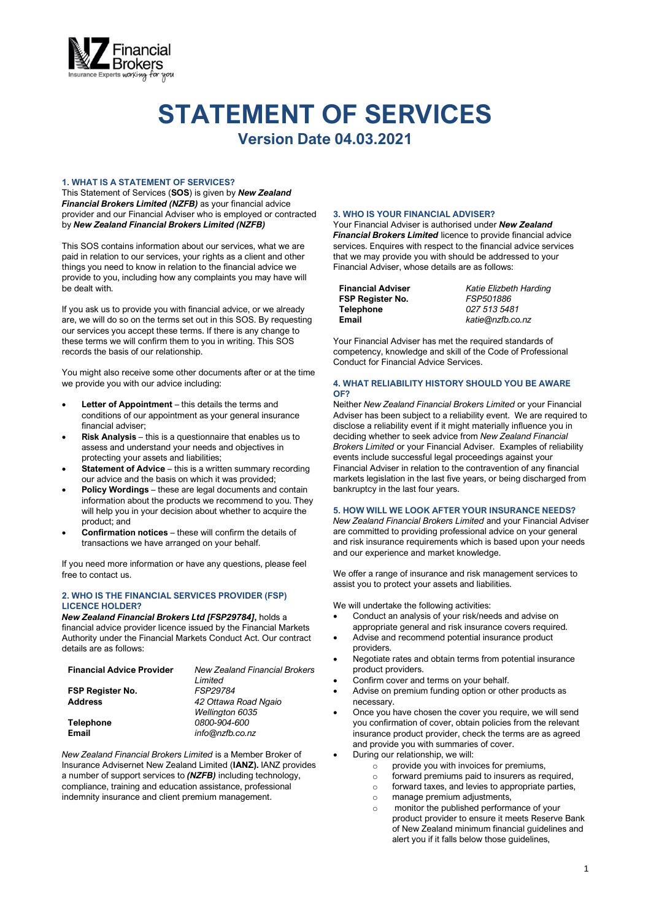

# **STATEMENT OF SERVICES**

**Version Date 04.03.2021**

#### **1. WHAT IS A STATEMENT OF SERVICES?**

This Statement of Services (**SOS**) is given by *New Zealand Financial Brokers Limited (NZFB)* as your financial advice provider and our Financial Adviser who is employed or contracted by *New Zealand Financial Brokers Limited (NZFB)*

This SOS contains information about our services, what we are paid in relation to our services, your rights as a client and other things you need to know in relation to the financial advice we provide to you, including how any complaints you may have will be dealt with.

If you ask us to provide you with financial advice, or we already are, we will do so on the terms set out in this SOS. By requesting our services you accept these terms. If there is any change to these terms we will confirm them to you in writing. This SOS records the basis of our relationship.

You might also receive some other documents after or at the time we provide you with our advice including:

- **Letter of Appointment** this details the terms and conditions of our appointment as your general insurance financial adviser;
- **Risk Analysis** this is a questionnaire that enables us to assess and understand your needs and objectives in protecting your assets and liabilities;
- **Statement of Advice** this is a written summary recording our advice and the basis on which it was provided;
- **Policy Wordings** these are legal documents and contain information about the products we recommend to you. They will help you in your decision about whether to acquire the product; and
- **Confirmation notices** these will confirm the details of transactions we have arranged on your behalf.

If you need more information or have any questions, please feel free to contact us.

## **2. WHO IS THE FINANCIAL SERVICES PROVIDER (FSP) LICENCE HOLDER?**

*New Zealand Financial Brokers Ltd [FSP29784]***,** holds a financial advice provider licence issued by the Financial Markets Authority under the Financial Markets Conduct Act. Our contract details are as follows:

| <b>Financial Advice Provider</b> | <b>New Zealand Financial Brokers</b> |
|----------------------------------|--------------------------------------|
|                                  | Limited                              |
| <b>FSP Register No.</b>          | FSP29784                             |
| <b>Address</b>                   | 42 Ottawa Road Ngaio                 |
|                                  | Wellington 6035                      |
| <b>Telephone</b>                 | 0800-904-600                         |
| <b>Email</b>                     | info@nzfb.co.nz                      |

*New Zealand Financial Brokers Limited* is a Member Broker of Insurance Advisernet New Zealand Limited (**IANZ).** IANZ provides a number of support services to *(NZFB)* including technology, compliance, training and education assistance, professional indemnity insurance and client premium management.

#### **3. WHO IS YOUR FINANCIAL ADVISER?**

Your Financial Adviser is authorised under *New Zealand Financial Brokers Limited* licence to provide financial advice services. Enquires with respect to the financial advice services that we may provide you with should be addressed to your Financial Adviser, whose details are as follows:

| <b>Financial Adviser</b> | Katie Elizbeth Harding |
|--------------------------|------------------------|
| <b>FSP Register No.</b>  | FSP501886              |
| Telephone                | 027 513 5481           |
| Email                    | katie@nzfb.co.nz       |

Your Financial Adviser has met the required standards of competency, knowledge and skill of the Code of Professional Conduct for Financial Advice Services.

## **4. WHAT RELIABILITY HISTORY SHOULD YOU BE AWARE OF?**

Neither *New Zealand Financial Brokers Limited* or your Financial Adviser has been subject to a reliability event. We are required to disclose a reliability event if it might materially influence you in deciding whether to seek advice from *New Zealand Financial Brokers Limited* or your Financial Adviser. Examples of reliability events include successful legal proceedings against your Financial Adviser in relation to the contravention of any financial markets legislation in the last five years, or being discharged from bankruptcy in the last four years.

## **5. HOW WILL WE LOOK AFTER YOUR INSURANCE NEEDS?**

*New Zealand Financial Brokers Limited* and your Financial Adviser are committed to providing professional advice on your general and risk insurance requirements which is based upon your needs and our experience and market knowledge.

We offer a range of insurance and risk management services to assist you to protect your assets and liabilities.

We will undertake the following activities:

- Conduct an analysis of your risk/needs and advise on appropriate general and risk insurance covers required.
- Advise and recommend potential insurance product providers.
- Negotiate rates and obtain terms from potential insurance product providers.
- Confirm cover and terms on your behalf.
- Advise on premium funding option or other products as necessary.
- Once you have chosen the cover you require, we will send you confirmation of cover, obtain policies from the relevant insurance product provider, check the terms are as agreed and provide you with summaries of cover.
- During our relationship, we will:
	- $\circ$  provide you with invoices for premiums,
		- o forward premiums paid to insurers as required,
		- o forward taxes, and levies to appropriate parties,
		- o manage premium adjustments,
		- o monitor the published performance of your product provider to ensure it meets Reserve Bank of New Zealand minimum financial guidelines and alert you if it falls below those guidelines,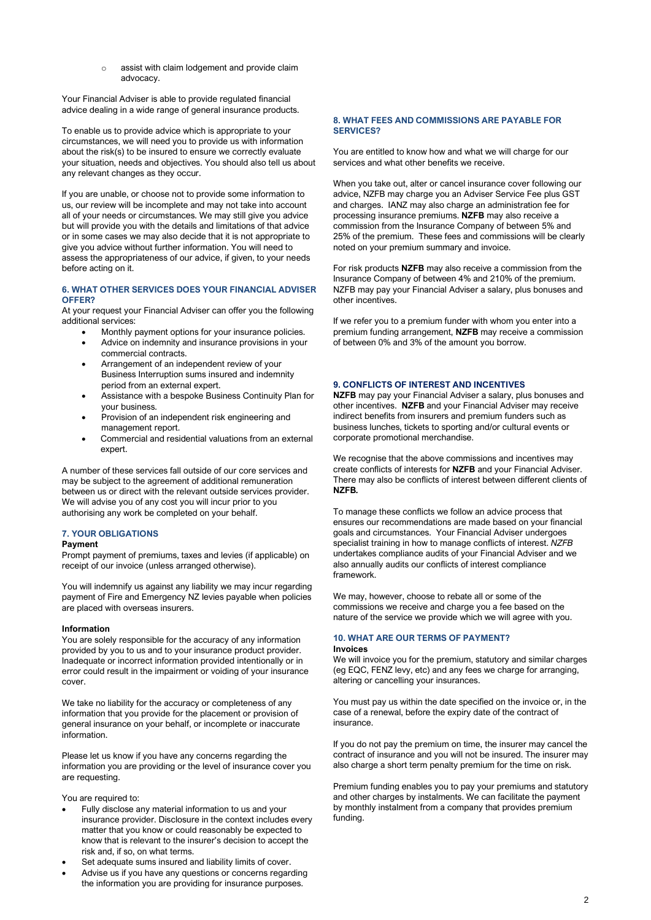o assist with claim lodgement and provide claim advocacy.

Your Financial Adviser is able to provide regulated financial advice dealing in a wide range of general insurance products.

To enable us to provide advice which is appropriate to your circumstances, we will need you to provide us with information about the risk(s) to be insured to ensure we correctly evaluate your situation, needs and objectives. You should also tell us about any relevant changes as they occur.

If you are unable, or choose not to provide some information to us, our review will be incomplete and may not take into account all of your needs or circumstances. We may still give you advice but will provide you with the details and limitations of that advice or in some cases we may also decide that it is not appropriate to give you advice without further information. You will need to assess the appropriateness of our advice, if given, to your needs before acting on it.

#### **6. WHAT OTHER SERVICES DOES YOUR FINANCIAL ADVISER OFFER?**

At your request your Financial Adviser can offer you the following additional services:

- Monthly payment options for your insurance policies.
- Advice on indemnity and insurance provisions in your commercial contracts.
- Arrangement of an independent review of your Business Interruption sums insured and indemnity period from an external expert.
- Assistance with a bespoke Business Continuity Plan for your business.
- Provision of an independent risk engineering and management report.
- Commercial and residential valuations from an external expert.

A number of these services fall outside of our core services and may be subject to the agreement of additional remuneration between us or direct with the relevant outside services provider. We will advise you of any cost you will incur prior to you authorising any work be completed on your behalf.

## **7. YOUR OBLIGATIONS**

#### **Payment**

Prompt payment of premiums, taxes and levies (if applicable) on receipt of our invoice (unless arranged otherwise).

You will indemnify us against any liability we may incur regarding payment of Fire and Emergency NZ levies payable when policies are placed with overseas insurers.

## **Information**

You are solely responsible for the accuracy of any information provided by you to us and to your insurance product provider. Inadequate or incorrect information provided intentionally or in error could result in the impairment or voiding of your insurance cover.

We take no liability for the accuracy or completeness of any information that you provide for the placement or provision of general insurance on your behalf, or incomplete or inaccurate information.

Please let us know if you have any concerns regarding the information you are providing or the level of insurance cover you are requesting.

You are required to:

- Fully disclose any material information to us and your insurance provider. Disclosure in the context includes every matter that you know or could reasonably be expected to know that is relevant to the insurer's decision to accept the risk and, if so, on what terms.
- Set adequate sums insured and liability limits of cover.
- Advise us if you have any questions or concerns regarding the information you are providing for insurance purposes.

## **8. WHAT FEES AND COMMISSIONS ARE PAYABLE FOR SERVICES?**

You are entitled to know how and what we will charge for our services and what other benefits we receive.

When you take out, alter or cancel insurance cover following our advice, NZFB may charge you an Adviser Service Fee plus GST and charges. IANZ may also charge an administration fee for processing insurance premiums. **NZFB** may also receive a commission from the Insurance Company of between 5% and 25% of the premium. These fees and commissions will be clearly noted on your premium summary and invoice.

For risk products **NZFB** may also receive a commission from the Insurance Company of between 4% and 210% of the premium. NZFB may pay your Financial Adviser a salary, plus bonuses and other incentives.

If we refer you to a premium funder with whom you enter into a premium funding arrangement, **NZFB** may receive a commission of between 0% and 3% of the amount you borrow.

## **9. CONFLICTS OF INTEREST AND INCENTIVES**

**NZFB** may pay your Financial Adviser a salary, plus bonuses and other incentives. **NZFB** and your Financial Adviser may receive indirect benefits from insurers and premium funders such as business lunches, tickets to sporting and/or cultural events or corporate promotional merchandise.

We recognise that the above commissions and incentives may create conflicts of interests for **NZFB** and your Financial Adviser. There may also be conflicts of interest between different clients of **NZFB***.*

To manage these conflicts we follow an advice process that ensures our recommendations are made based on your financial goals and circumstances. Your Financial Adviser undergoes specialist training in how to manage conflicts of interest. *NZFB* undertakes compliance audits of your Financial Adviser and we also annually audits our conflicts of interest compliance framework.

We may, however, choose to rebate all or some of the commissions we receive and charge you a fee based on the nature of the service we provide which we will agree with you.

#### **10. WHAT ARE OUR TERMS OF PAYMENT? Invoices**

We will invoice you for the premium, statutory and similar charges (eg EQC, FENZ levy, etc) and any fees we charge for arranging, altering or cancelling your insurances.

You must pay us within the date specified on the invoice or, in the case of a renewal, before the expiry date of the contract of insurance.

If you do not pay the premium on time, the insurer may cancel the contract of insurance and you will not be insured. The insurer may also charge a short term penalty premium for the time on risk.

Premium funding enables you to pay your premiums and statutory and other charges by instalments. We can facilitate the payment by monthly instalment from a company that provides premium funding.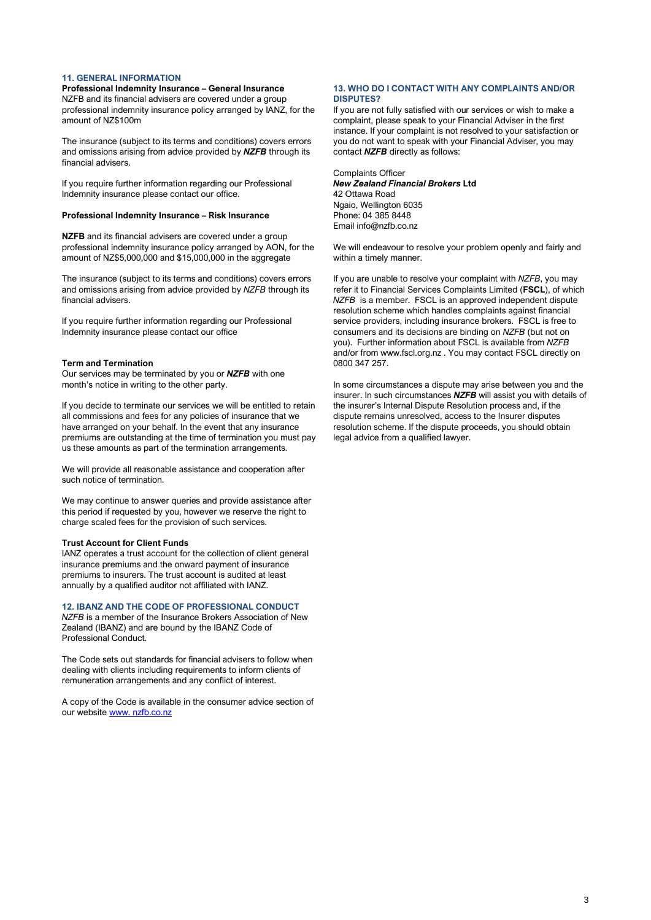## **11. GENERAL INFORMATION**

## **Professional Indemnity Insurance – General Insurance**

NZFB and its financial advisers are covered under a group professional indemnity insurance policy arranged by IANZ, for the amount of NZ\$100m

The insurance (subject to its terms and conditions) covers errors and omissions arising from advice provided by *NZFB* through its financial advisers.

If you require further information regarding our Professional Indemnity insurance please contact our office.

#### **Professional Indemnity Insurance – Risk Insurance**

**NZFB** and its financial advisers are covered under a group professional indemnity insurance policy arranged by AON, for the amount of NZ\$5,000,000 and \$15,000,000 in the aggregate

The insurance (subject to its terms and conditions) covers errors and omissions arising from advice provided by *NZFB* through its financial advisers.

If you require further information regarding our Professional Indemnity insurance please contact our office

#### **Term and Termination**

Our services may be terminated by you or *NZFB* with one month's notice in writing to the other party.

If you decide to terminate our services we will be entitled to retain all commissions and fees for any policies of insurance that we have arranged on your behalf. In the event that any insurance premiums are outstanding at the time of termination you must pay us these amounts as part of the termination arrangements.

We will provide all reasonable assistance and cooperation after such notice of termination.

We may continue to answer queries and provide assistance after this period if requested by you, however we reserve the right to charge scaled fees for the provision of such services.

#### **Trust Account for Client Funds**

IANZ operates a trust account for the collection of client general insurance premiums and the onward payment of insurance premiums to insurers. The trust account is audited at least annually by a qualified auditor not affiliated with IANZ.

#### **12. IBANZ AND THE CODE OF PROFESSIONAL CONDUCT**

*NZFB* is a member of the Insurance Brokers Association of New Zealand (IBANZ) and are bound by the IBANZ Code of Professional Conduct.

The Code sets out standards for financial advisers to follow when dealing with clients including requirements to inform clients of remuneration arrangements and any conflict of interest.

A copy of the Code is available in the consumer advice section of our website www. [nzfb.co.nz](http://www.insuranceadviser.co.nz/)

#### **13. WHO DO I CONTACT WITH ANY COMPLAINTS AND/OR DISPUTES?**

If you are not fully satisfied with our services or wish to make a complaint, please speak to your Financial Adviser in the first instance. If your complaint is not resolved to your satisfaction or you do not want to speak with your Financial Adviser, you may contact *NZFB* directly as follows:

Complaints Officer *New Zealand Financial Brokers* **Ltd** 42 Ottawa Road Ngaio, Wellington 6035 Phone: 04 385 8448 Email info@nzfb.co.nz

We will endeavour to resolve your problem openly and fairly and within a timely manner.

If you are unable to resolve your complaint with *NZFB*, you may refer it to Financial Services Complaints Limited (**FSCL**), of which *NZFB* is a member. FSCL is an approved independent dispute resolution scheme which handles complaints against financial service providers, including insurance brokers. FSCL is free to consumers and its decisions are binding on *NZFB* (but not on you). Further information about FSCL is available from *NZFB* and/or from www.fscl.org.nz . You may contact FSCL directly on 0800 347 257.

In some circumstances a dispute may arise between you and the insurer. In such circumstances *NZFB* will assist you with details of the insurer's Internal Dispute Resolution process and, if the dispute remains unresolved, access to the Insurer disputes resolution scheme. If the dispute proceeds, you should obtain legal advice from a qualified lawyer.